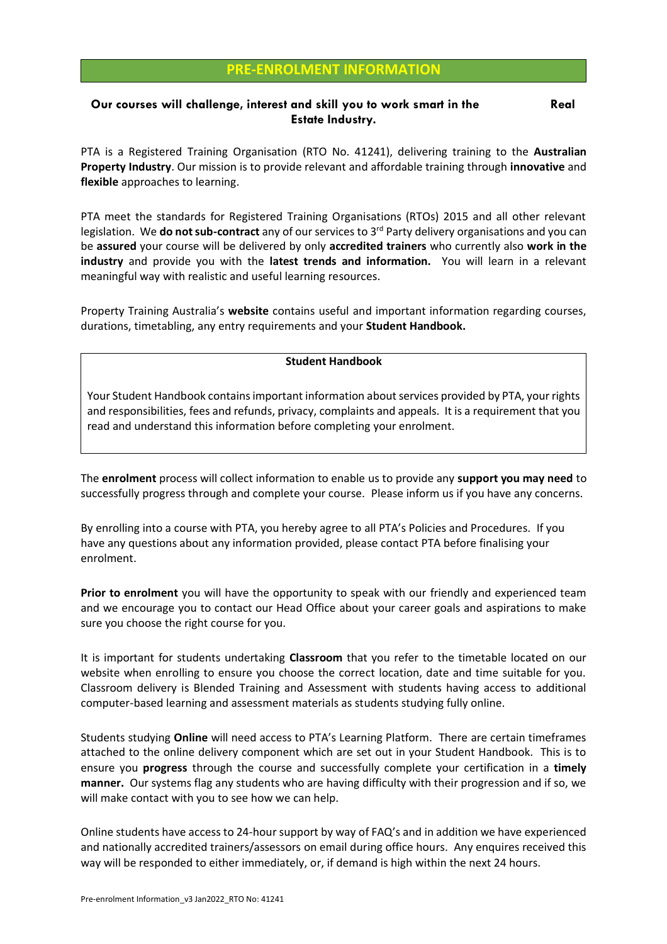## **PRE-ENROLMENT INFORMATION**

## **Our courses will challenge, interest and skill you to work smart in the Real Real Estate Industry.**

PTA is a Registered Training Organisation (RTO No. 41241), delivering training to the **Australian Property Industry**. Our mission is to provide relevant and affordable training through **innovative** and **flexible** approaches to learning.

PTA meet the standards for Registered Training Organisations (RTOs) 2015 and all other relevant legislation. We **do not sub-contract** any of our services to 3rd Party delivery organisations and you can be **assured** your course will be delivered by only **accredited trainers** who currently also **work in the industry** and provide you with the **latest trends and information.** You will learn in a relevant meaningful way with realistic and useful learning resources.

Property Training Australia's **website** contains useful and important information regarding courses, durations, timetabling, any entry requirements and your **Student Handbook.** 

## **Student Handbook**

Your Student Handbook contains important information about services provided by PTA, your rights and responsibilities, fees and refunds, privacy, complaints and appeals. It is a requirement that you read and understand this information before completing your enrolment.

The **enrolment** process will collect information to enable us to provide any **support you may need** to successfully progress through and complete your course. Please inform us if you have any concerns.

By enrolling into a course with PTA, you hereby agree to all PTA's Policies and Procedures. If you have any questions about any information provided, please contact PTA before finalising your enrolment.

**Prior to enrolment** you will have the opportunity to speak with our friendly and experienced team and we encourage you to contact our Head Office about your career goals and aspirations to make sure you choose the right course for you.

It is important for students undertaking **Classroom** that you refer to the timetable located on our website when enrolling to ensure you choose the correct location, date and time suitable for you. Classroom delivery is Blended Training and Assessment with students having access to additional computer-based learning and assessment materials as students studying fully online.

Students studying **Online** will need access to PTA's Learning Platform. There are certain timeframes attached to the online delivery component which are set out in your Student Handbook. This is to ensure you **progress** through the course and successfully complete your certification in a **timely manner.** Our systems flag any students who are having difficulty with their progression and if so, we will make contact with you to see how we can help.

Online students have access to 24-hour support by way of FAQ's and in addition we have experienced and nationally accredited trainers/assessors on email during office hours. Any enquires received this way will be responded to either immediately, or, if demand is high within the next 24 hours.